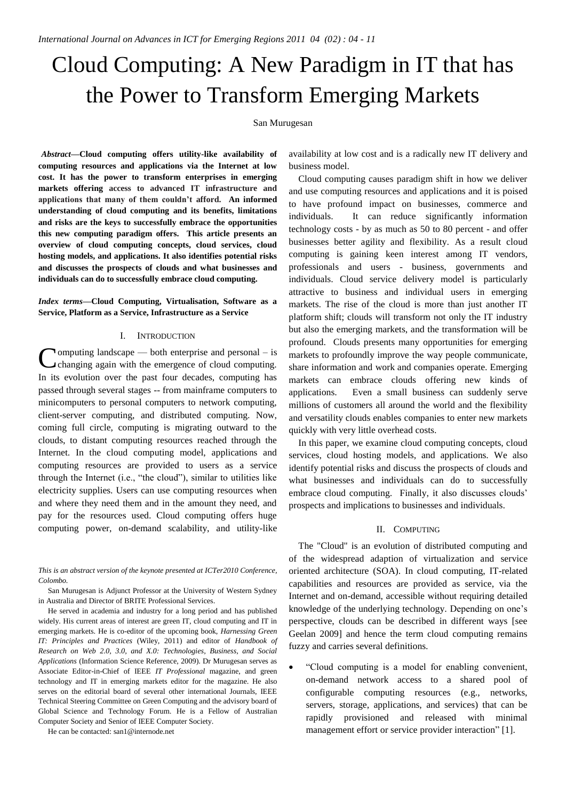# Cloud Computing: A New Paradigm in IT that has the Power to Transform Emerging Markets

## San Murugesan

**1** *Abstract***—Cloud computing offers utility-like availability of computing resources and applications via the Internet at low cost. It has the power to transform enterprises in emerging markets offering access to advanced IT infrastructure and applications that many of them couldn't afford. An informed understanding of cloud computing and its benefits, limitations and risks are the keys to successfully embrace the opportunities this new computing paradigm offers. This article presents an overview of cloud computing concepts, cloud services, cloud hosting models, and applications. It also identifies potential risks and discusses the prospects of clouds and what businesses and individuals can do to successfully embrace cloud computing.**

## *Index terms***—Cloud Computing, Virtualisation, Software as a Service, Platform as a Service, Infrastructure as a Service**

#### I. INTRODUCTION

**N**omputing landscape — both enterprise and personal – is **C**omputing landscape — both enterprise and personal – is changing again with the emergence of cloud computing. In its evolution over the past four decades, computing has passed through several stages -- from mainframe computers to minicomputers to personal computers to network computing, client-server computing, and distributed computing. Now, coming full circle, computing is migrating outward to the clouds, to distant computing resources reached through the Internet. In the cloud computing model, applications and computing resources are provided to users as a service through the Internet (i.e., "the cloud"), similar to utilities like electricity supplies. Users can use computing resources when and where they need them and in the amount they need, and pay for the resources used. Cloud computing offers huge computing power, on-demand scalability, and utility-like

*This is an abstract version of the keynote presented at ICTer2010 Conference, Colombo.*

San Murugesan is Adjunct Professor at the University of Western Sydney in Australia and Director of BRITE Professional Services.

He served in academia and industry for a long period and has published widely. His current areas of interest are green IT, cloud computing and IT in emerging markets. He is co-editor of the upcoming book, *Harnessing Green IT: Principles and Practices* (Wiley, 2011) and editor of *Handbook of Research on Web 2.0, 3.0, and X.0: Technologies, Business, and Social Applications* (Information Science Reference, 2009). Dr Murugesan serves as Associate Editor-in-Chief of IEEE *IT Professional* magazine, and green technology and IT in emerging markets editor for the magazine. He also serves on the editorial board of several other international Journals, IEEE Technical Steering Committee on Green Computing and the advisory board of Global Science and Technology Forum. He is a Fellow of Australian Computer Society and Senior of IEEE Computer Society.

He can be contacted: san1@internode.net

availability at low cost and is a radically new IT delivery and business model.

Cloud computing causes paradigm shift in how we deliver and use computing resources and applications and it is poised to have profound impact on businesses, commerce and individuals. It can reduce significantly information technology costs - by as much as 50 to 80 percent - and offer businesses better agility and flexibility. As a result cloud computing is gaining keen interest among IT vendors, professionals and users - business, governments and individuals. Cloud service delivery model is particularly attractive to business and individual users in emerging markets. The rise of the cloud is more than just another IT platform shift; clouds will transform not only the IT industry but also the emerging markets, and the transformation will be profound. Clouds presents many opportunities for emerging markets to profoundly improve the way people communicate, share information and work and companies operate. Emerging markets can embrace clouds offering new kinds of applications. Even a small business can suddenly serve millions of customers all around the world and the flexibility and versatility clouds enables companies to enter new markets quickly with very little overhead costs.

In this paper, we examine cloud computing concepts, cloud services, cloud hosting models, and applications. We also identify potential risks and discuss the prospects of clouds and what businesses and individuals can do to successfully embrace cloud computing. Finally, it also discusses clouds' prospects and implications to businesses and individuals.

#### II. COMPUTING

The "Cloud" is an evolution of distributed computing and of the widespread adaption of virtualization and service oriented architecture (SOA). In cloud computing, IT-related capabilities and resources are provided as service, via the Internet and on-demand, accessible without requiring detailed knowledge of the underlying technology. Depending on one's perspective, clouds can be described in different ways [see Geelan 2009] and hence the term cloud computing remains fuzzy and carries several definitions.

 ―Cloud computing is a model for enabling convenient, on-demand network access to a shared pool of configurable computing resources (e.g., networks, servers, storage, applications, and services) that can be rapidly provisioned and released with minimal management effort or service provider interaction" [1].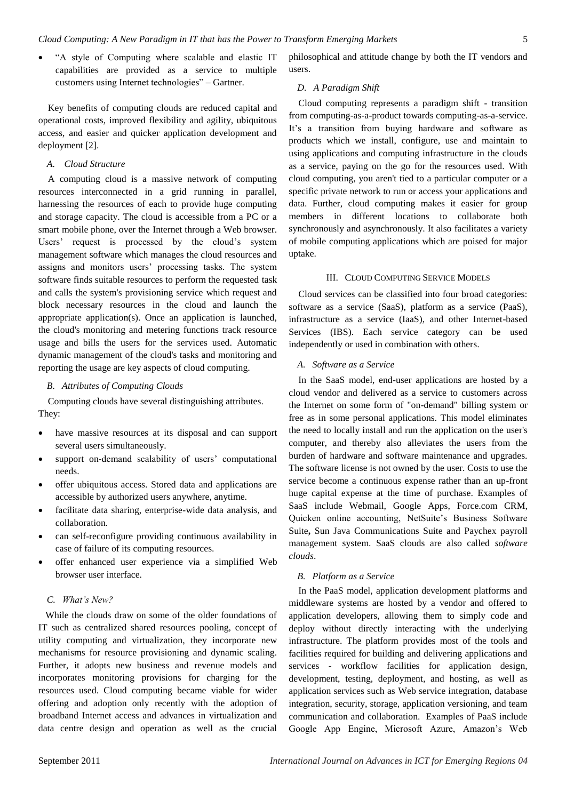―A style of Computing where scalable and elastic IT capabilities are provided as a service to multiple customers using Internet technologies" – Gartner.

Key benefits of computing clouds are reduced capital and operational costs, improved flexibility and agility, ubiquitous access, and easier and quicker application development and deployment [2].

#### *A. Cloud Structure*

A computing cloud is a massive network of computing resources interconnected in a grid running in parallel, harnessing the resources of each to provide huge computing and storage capacity. The cloud is accessible from a PC or a smart mobile phone, over the Internet through a Web browser. Users' request is processed by the cloud's system management software which manages the cloud resources and assigns and monitors users' processing tasks. The system software finds suitable resources to perform the requested task and calls the system's provisioning service which request and block necessary resources in the cloud and launch the appropriate application(s). Once an application is launched, the cloud's monitoring and metering functions track resource usage and bills the users for the services used. Automatic dynamic management of the cloud's tasks and monitoring and reporting the usage are key aspects of cloud computing.

#### *B. Attributes of Computing Clouds*

Computing clouds have several distinguishing attributes. They:

- have massive resources at its disposal and can support several users simultaneously.
- support on-demand scalability of users' computational needs.
- offer ubiquitous access. Stored data and applications are accessible by authorized users anywhere, anytime.
- facilitate data sharing, enterprise-wide data analysis, and collaboration.
- can self-reconfigure providing continuous availability in case of failure of its computing resources.
- offer enhanced user experience via a simplified Web browser user interface.

#### *C. What's New?*

 While the clouds draw on some of the older foundations of IT such as centralized shared resources pooling, concept of utility computing and virtualization, they incorporate new mechanisms for resource provisioning and dynamic scaling. Further, it adopts new business and revenue models and incorporates monitoring provisions for charging for the resources used. Cloud computing became viable for wider offering and adoption only recently with the adoption of broadband Internet access and advances in virtualization and data centre design and operation as well as the crucial

philosophical and attitude change by both the IT vendors and users.

## *D. A Paradigm Shift*

Cloud computing represents a paradigm shift - transition from computing-as-a-product towards computing-as-a-service. It's a transition from buying hardware and software as products which we install, configure, use and maintain to using applications and computing infrastructure in the clouds as a service, paying on the go for the resources used. With cloud computing, you aren't tied to a particular computer or a specific private network to run or access your applications and data. Further, cloud computing makes it easier for group members in different locations to collaborate both synchronously and asynchronously. It also facilitates a variety of mobile computing applications which are poised for major uptake.

## III. CLOUD COMPUTING SERVICE MODELS

Cloud services can be classified into four broad categories: software as a service (SaaS), platform as a service (PaaS), infrastructure as a service (IaaS), and other Internet-based Services (IBS). Each service category can be used independently or used in combination with others.

#### *A. Software as a Service*

In the SaaS model, end-user applications are hosted by a cloud vendor and delivered as a service to customers across the Internet on some form of "on-demand" billing system or free as in some personal applications. This model eliminates the need to locally install and run the application on the user's computer, and thereby also alleviates the users from the burden of hardware and software maintenance and upgrades. The software license is not owned by the user. Costs to use the service become a continuous expense rather than an up-front huge capital expense at the time of purchase. Examples of SaaS include Webmail, Google Apps, Force.com CRM, Quicken online accounting, NetSuite's Business Software Suite**,** Sun Java Communications Suite and Paychex payroll management system. SaaS clouds are also called *software clouds*.

# *B. Platform as a Service*

In the PaaS model, application development platforms and middleware systems are hosted by a vendor and offered to application developers, allowing them to simply code and deploy without directly interacting with the underlying infrastructure. The platform provides most of the tools and facilities required for building and delivering applications and services - workflow facilities for application design, development, testing, deployment, and hosting, as well as application services such as Web service integration, database integration, security, storage, application versioning, and team communication and collaboration. Examples of PaaS include Google App Engine, Microsoft Azure, Amazon's Web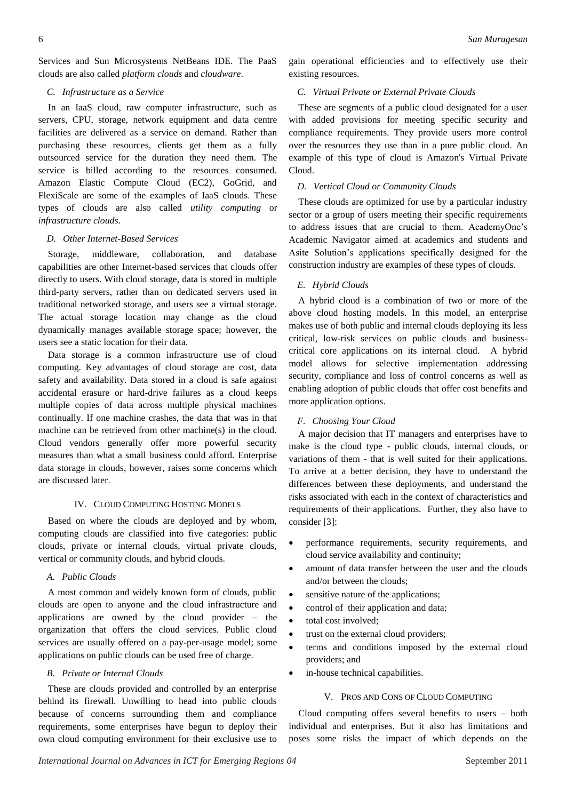Services and Sun Microsystems NetBeans IDE. The PaaS clouds are also called *platform clouds* and *cloudware*.

## *C. Infrastructure as a Service*

In an IaaS cloud, raw computer infrastructure, such as servers, CPU, storage, network equipment and data centre facilities are delivered as a service on demand. Rather than purchasing these resources, clients get them as a fully outsourced service for the duration they need them. [T](http://www.cutter.com/content/bia/fulltext/reports/2009/02/index.html#notes#notes)he service is billed according to the resources consumed. Amazon Elastic Compute Cloud (EC2), GoGrid, and FlexiScale are some of the examples of IaaS clouds. These types of clouds are also called *utility computing* or *infrastructure clouds*.

#### *D. Other Internet-Based Services*

Storage, middleware, collaboration, and database capabilities are other Internet-based services that clouds offer directly to users. With cloud storage, data is stored in multiple third-party servers, rather than on dedicated servers used in traditional networked storage, and users see a virtual storage. The actual storage location may change as the cloud dynamically manages available storage space; however, the users see a static location for their data[.](http://www.cutter.com/content/bia/fulltext/reports/2009/02/index.html#notes#notes)

Data storage is a common infrastructure use of cloud computing. Key advantages of cloud storage are cost, data safety and availability. Data stored in a cloud is safe against accidental erasure or hard-drive failures as a cloud keeps multiple copies of data across multiple physical machines continually. If one machine crashes, the data that was in that machine can be retrieved from other machine(s) in the cloud. Cloud vendors generally offer more powerful security measures than what a small business could afford. [E](http://www.cutter.com/content/bia/fulltext/reports/2009/02/index.html#notes#notes)nterprise data storage in clouds, however, raises some concerns which are discussed later.

## IV. CLOUD COMPUTING HOSTING MODELS

Based on where the clouds are deployed and by whom, computing clouds are classified into five categories: public clouds, private or internal clouds, virtual private clouds, vertical or community clouds, and hybrid clouds.

## *A. Public Clouds*

A most common and widely known form of clouds, public clouds are open to anyone and the cloud infrastructure and applications are owned by the cloud provider – the organization that offers the cloud services. Public cloud services are usually offered on a pay-per-usage model; some applications on public clouds can be used free of charge.

#### *B. Private or Internal Clouds*

These are clouds provided and controlled by an enterprise behind its firewall. Unwilling to head into public clouds because of concerns surrounding them and compliance requirements, some enterprises have begun to deploy their own cloud computing environment for their exclusive use to

gain operational efficiencies and to effectively use their existing resources.

#### *C. Virtual Private or External Private Clouds*

These are segments of a public cloud designated for a user with added provisions for meeting specific security and compliance requirements. They provide users more control over the resources they use than in a pure public cloud. An example of this type of cloud is Amazon's Virtual Private Cloud.

## *D. Vertical Cloud or Community Clouds*

These clouds are optimized for use by a particular industry sector or a group of users meeting their specific requirements to address issues that are crucial to them. AcademyOne's Academic Navigator aimed at academics and students and Asite Solution's applications specifically designed for the construction industry are examples of these types of clouds.

## *E. Hybrid Clouds*

A hybrid cloud is a combination of two or more of the above cloud hosting models. In this model, an enterprise makes use of both public and internal clouds deploying its less critical, low-risk services on public clouds and businesscritical core applications on its internal cloud. A hybrid model allows for selective implementation addressing security, compliance and loss of control concerns as well as enabling adoption of public clouds that offer cost benefits and more application options.

# *F. Choosing Your Cloud*

A major decision that IT managers and enterprises have to make is the cloud type - public clouds, internal clouds, or variations of them - that is well suited for their applications. To arrive at a better decision, they have to understand the differences between these deployments, and understand the risks associated with each in the context of characteristics and requirements of their applications. Further, they also have to consider [3]:

- performance requirements, security requirements, and cloud service availability and continuity;
- amount of data transfer between the user and the clouds and/or between the clouds;
- sensitive nature of the applications;
- control of their application and data;
- total cost involved:
- trust on the external cloud providers;
- terms and conditions imposed by the external cloud providers; and
- in-house technical capabilities.

#### V. PROS AND CONS OF CLOUD COMPUTING

Cloud computing offers several benefits to users – both individual and enterprises. But it also has limitations and poses some risks the impact of which depends on the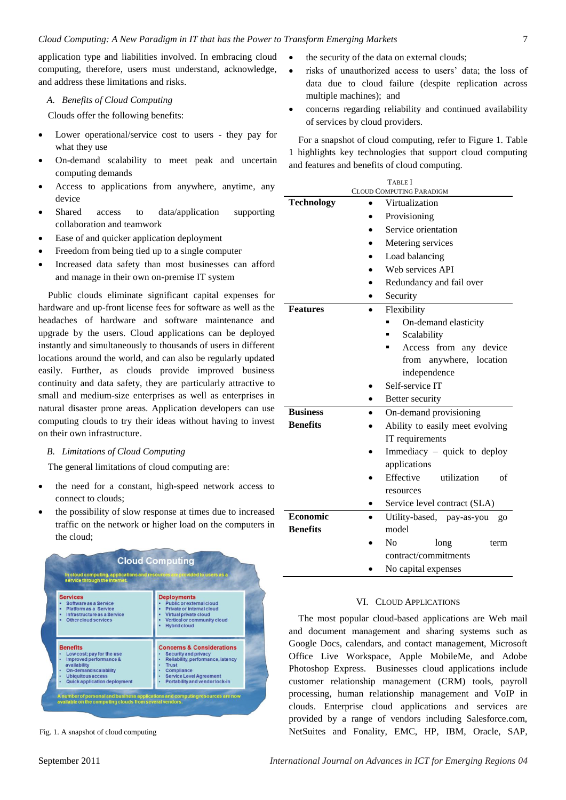application type and liabilities involved. In embracing cloud computing, therefore, users must understand, acknowledge, and address these limitations and risks.

## *A. Benefits of Cloud Computing*

Clouds offer the following benefits:

- Lower operational/service cost to users they pay for what they use
- On-demand scalability to meet peak and uncertain computing demands
- Access to applications from anywhere, anytime, any device
- Shared access to data/application supporting collaboration and teamwork
- Ease of and quicker application deployment
- Freedom from being tied up to a single computer
- Increased data safety than most businesses can afford and manage in their own on-premise IT system

Public clouds eliminate significant capital expenses for hardware and up-front license fees for software as well as the headaches of hardware and software maintenance and upgrade by the users. Cloud applications can be deployed instantly and simultaneously to thousands of users in different locations around the world, and can also be regularly updated easily. Further, as clouds provide improved business continuity and data safety, they are particularly attractive to small and medium-size enterprises as well as enterprises in natural disaster prone areas. Application developers can use computing clouds to try their ideas without having to invest on their own infrastructure.

## *B. Limitations of Cloud Computing*

The general limitations of cloud computing are:

- the need for a constant, high-speed network access to connect to clouds;
- the possibility of slow response at times due to increased traffic on the network or higher load on the computers in the cloud;



- the security of the data on external clouds;
- risks of unauthorized access to users' data; the loss of data due to cloud failure (despite replication across multiple machines); and
- concerns regarding reliability and continued availability of services by cloud providers.

For a snapshot of cloud computing, refer to Figure 1. Table 1 highlights key technologies that support cloud computing and features and benefits of cloud computing.

| <b>TABLE</b> I<br><b>CLOUD COMPUTING PARADIGM</b> |                                      |
|---------------------------------------------------|--------------------------------------|
| <b>Technology</b>                                 | Virtualization                       |
|                                                   | Provisioning                         |
|                                                   | Service orientation                  |
|                                                   | Metering services                    |
|                                                   | Load balancing                       |
|                                                   | Web services API                     |
|                                                   | Redundancy and fail over             |
|                                                   | Security                             |
| <b>Features</b>                                   | Flexibility                          |
|                                                   | On-demand elasticity                 |
|                                                   | Scalability                          |
|                                                   | Access from any device               |
|                                                   | from anywhere, location              |
|                                                   | independence                         |
|                                                   | Self-service IT                      |
|                                                   | Better security                      |
| <b>Business</b>                                   | On-demand provisioning               |
| <b>Benefits</b>                                   | Ability to easily meet evolving      |
|                                                   | IT requirements                      |
|                                                   | Immediacy – quick to deploy          |
|                                                   | applications                         |
|                                                   | Effective<br>utilization<br>of       |
|                                                   | resources                            |
|                                                   | Service level contract (SLA)         |
| Economic                                          | Utility-based, pay-as-you<br>$g_{0}$ |
| <b>Benefits</b>                                   | model                                |
|                                                   | Nο<br>long<br>term                   |
|                                                   | contract/commitments                 |
|                                                   | No capital expenses                  |

#### VI. CLOUD APPLICATIONS

The most popular cloud-based applications are Web mail and document management and sharing systems such as Google Docs, calendars, and contact management, Microsoft Office Live Workspace, Apple MobileMe, and Adobe Photoshop Express. Businesses cloud applications include customer relationship management (CRM) tools, payroll processing, human relationship management and VoIP in clouds. Enterprise cloud applications and services are provided by a range of vendors including Salesforce.com, Fig. 1. A snapshot of cloud computing NetSuites and Fonality, EMC, HP, IBM, Oracle, SAP,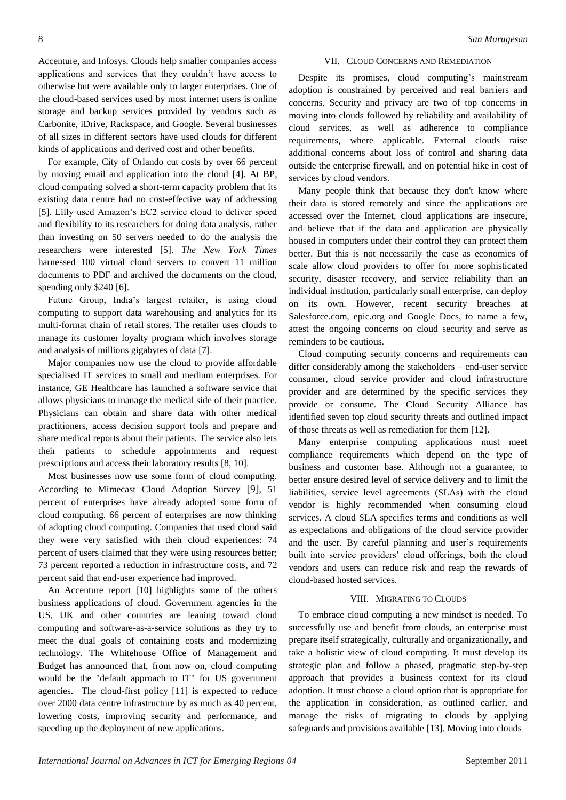Accenture, and Infosys. Clouds help smaller companies access applications and services that they couldn't have access to otherwise but were available only to larger enterprises. One of the cloud-based services used by most internet users is online storage and backup services provided by vendors such as Carbonite, iDrive, Rackspace, and Google. Several businesses of all sizes in different sectors have used clouds for different kinds of applications and derived cost and other benefits.

For example, City of Orlando cut costs by over 66 percent by moving email and application into the cloud [4]. At BP, cloud computing solved a short-term capacity problem that its existing data centre had no cost-effective way of addressing [5]. Lilly used Amazon's EC2 service cloud to deliver speed and flexibility to its researchers for doing data analysis, rather than investing on 50 servers needed to do the analysis the researchers were interested [5]. *The New York Times*  harnessed 100 virtual cloud servers to convert 11 million documents to PDF and archived the documents on the cloud, spending only \$240 [6].

Future Group, India's largest retailer, is using cloud computing to support data warehousing and analytics for its multi-format chain of retail stores. The retailer uses clouds to manage its customer loyalty program which involves storage and analysis of millions gigabytes of data [7].

Major companies now use the cloud to provide affordable specialised IT services to small and medium enterprises. For instance, GE Healthcare has launched a software service that allows physicians to manage the medical side of their practice. Physicians can obtain and share data with other medical practitioners, access decision support tools and prepare and share medical reports about their patients. The service also lets their patients to schedule appointments and request prescriptions and access their laboratory results [8, 10].

Most businesses now use some form of cloud computing. According to Mimecast Cloud Adoption Survey [9], 51 percent of enterprises have already adopted some form of cloud computing. 66 percent of enterprises are now thinking of adopting cloud computing. Companies that used cloud said they were very satisfied with their cloud experiences: 74 percent of users claimed that they were using resources better; 73 percent reported a reduction in infrastructure costs, and 72 percent said that end-user experience had improved.

An Accenture report [10] highlights some of the others business applications of cloud. Government agencies in the US, UK and other countries are leaning toward cloud computing and software-as-a-service solutions as they try to meet the dual goals of containing costs and modernizing technology. The Whitehouse Office of Management and Budget has announced that, from now on, cloud computing would be the "default approach to IT" for US government agencies. The cloud-first policy [11] is expected to reduce over 2000 data centre infrastructure by as much as 40 percent, lowering costs, improving security and performance, and speeding up the deployment of new applications.

## VII. CLOUD CONCERNS AND REMEDIATION

Despite its promises, cloud computing's mainstream adoption is constrained by perceived and real barriers and concerns. Security and privacy are two of top concerns in moving into clouds followed by reliability and availability of cloud services, as well as adherence to compliance requirements, where applicable. External clouds raise additional concerns about loss of control and sharing data outside the enterprise firewall, and on potential hike in cost of services by cloud vendors.

Many people think that because they don't know where their data is stored remotely and since the applications are accessed over the Internet, cloud applications are insecure, and believe that if the data and application are physically housed in computers under their control they can protect them better. But this is not necessarily the case as economies of scale allow cloud providers to offer for more sophisticated security, disaster recovery, and service reliability than an individual institution, particularly small enterprise, can deploy on its own. However, recent security breaches at Salesforce.com, epic.org and Google Docs, to name a few, attest the ongoing concerns on cloud security and serve as reminders to be cautious.

Cloud computing security concerns and requirements can differ considerably among the stakeholders – end-user service consumer, cloud service provider and cloud infrastructure provider and are determined by the specific services they provide or consume. The Cloud Security Alliance has identified seven top cloud security threats and outlined impact of those threats as well as remediation for them [12].

Many enterprise computing applications must meet compliance requirements which depend on the type of business and customer base. Although not a guarantee, to better ensure desired level of service delivery and to limit the liabilities, service level agreements (SLAs) with the cloud vendor is highly recommended when consuming cloud services. A cloud SLA specifies terms and conditions as well as expectations and obligations of the cloud service provider and the user. By careful planning and user's requirements built into service providers' cloud offerings, both the cloud vendors and users can reduce risk and reap the rewards of cloud-based hosted services.

#### VIII. MIGRATING TO CLOUDS

To embrace cloud computing a new mindset is needed. To successfully use and benefit from clouds, an enterprise must prepare itself strategically, culturally and organizationally, and take a holistic view of cloud computing. It must develop its strategic plan and follow a phased, pragmatic step-by-step approach that provides a business context for its cloud adoption. It must choose a cloud option that is appropriate for the application in consideration, as outlined earlier, and manage the risks of migrating to clouds by applying safeguards and provisions available [13]. Moving into clouds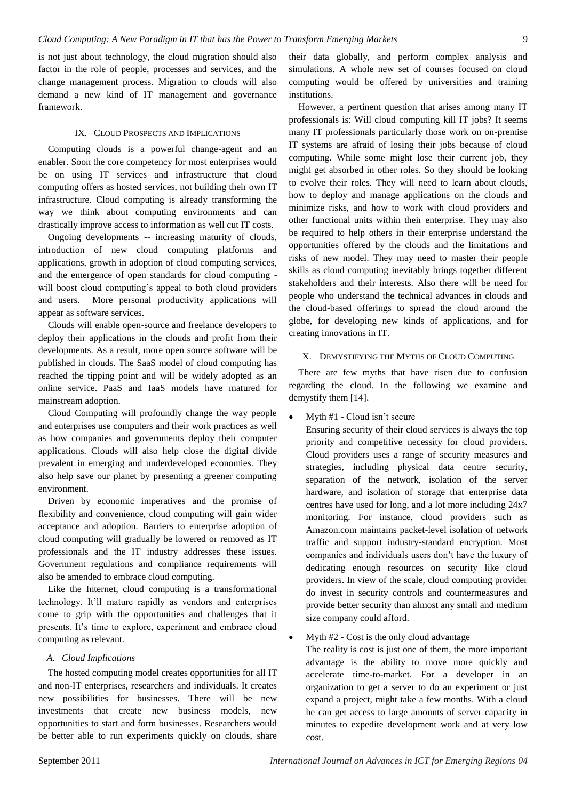is not just about technology, the cloud migration should also factor in the role of people, processes and services, and the change management process. Migration to clouds will also demand a new kind of IT management and governance framework.

## IX. CLOUD PROSPECTS AND IMPLICATIONS

Computing clouds is a powerful change-agent and an enabler. Soon the core competency for most enterprises would be on using IT services and infrastructure that cloud computing offers as hosted services, not building their own IT infrastructure. Cloud computing is already transforming the way we think about computing environments and can drastically improve access to information as well cut IT costs.

Ongoing developments -- increasing maturity of clouds, introduction of new cloud computing platforms and applications, growth in adoption of cloud computing services, and the emergence of open standards for cloud computing will boost cloud computing's appeal to both cloud providers and users. More personal productivity applications will appear as software services.

Clouds will enable open-source and freelance developers to deploy their applications in the clouds and profit from their developments. As a result, more open source software will be published in clouds. The SaaS model of cloud computing has reached the tipping point and will be widely adopted as an online service. PaaS and IaaS models have matured for mainstream adoption.

Cloud Computing will profoundly change the way people and enterprises use computers and their work practices as well as how companies and governments deploy their computer applications. Clouds will also help close the digital divide prevalent in emerging and underdeveloped economies. They also help save our planet by presenting a greener computing environment.

Driven by economic imperatives and the promise of flexibility and convenience, cloud computing will gain wider acceptance and adoption. Barriers to enterprise adoption of cloud computing will gradually be lowered or removed as IT professionals and the IT industry addresses these issues. Government regulations and compliance requirements will also be amended to embrace cloud computing.

Like the Internet, cloud computing is a transformational technology. It'll mature rapidly as vendors and enterprises come to grip with the opportunities and challenges that it presents. It's time to explore, experiment and embrace cloud computing as relevant.

## *A. Cloud Implications*

The hosted computing model creates opportunities for all IT and non-IT enterprises, researchers and individuals. It creates new possibilities for businesses. There will be new investments that create new business models, new opportunities to start and form businesses. Researchers would be better able to run experiments quickly on clouds, share

their data globally, and perform complex analysis and simulations. A whole new set of courses focused on cloud computing would be offered by universities and training institutions.

However, a pertinent question that arises among many IT professionals is: Will cloud computing kill IT jobs? It seems many IT professionals particularly those work on on-premise IT systems are afraid of losing their jobs because of cloud computing. While some might lose their current job, they might get absorbed in other roles. So they should be looking to evolve their roles. They will need to learn about clouds, how to deploy and manage applications on the clouds and minimize risks, and how to work with cloud providers and other functional units within their enterprise. They may also be required to help others in their enterprise understand the opportunities offered by the clouds and the limitations and risks of new model. They may need to master their people skills as cloud computing inevitably brings together different stakeholders and their interests. Also there will be need for people who understand the technical advances in clouds and the cloud-based offerings to spread the cloud around the globe, for developing new kinds of applications, and for creating innovations in IT.

## X. DEMYSTIFYING THE MYTHS OF CLOUD COMPUTING

There are few myths that have risen due to confusion regarding the cloud. In the following we examine and demystify them [14].

Myth #1 - Cloud isn't secure

Ensuring security of their cloud services is always the top priority and competitive necessity for cloud providers. Cloud providers uses a range of security measures and strategies, including physical data centre security, separation of the network, isolation of the server hardware, and isolation of storage that enterprise data centres have used for long, and a lot more including 24x7 monitoring. For instance, cloud providers such as Amazon.com maintains packet-level isolation of network traffic and support industry-standard encryption. Most companies and individuals users don't have the luxury of dedicating enough resources on security like cloud providers. In view of the scale, cloud computing provider do invest in security controls and countermeasures and provide better security than almost any small and medium size company could afford.

Myth #2 - Cost is the only cloud advantage

The reality is cost is just one of them, the more important advantage is the ability to move more quickly and accelerate time-to-market. For a developer in an organization to get a server to do an experiment or just expand a project, might take a few months. With a cloud he can get access to large amounts of server capacity in minutes to expedite development work and at very low cost.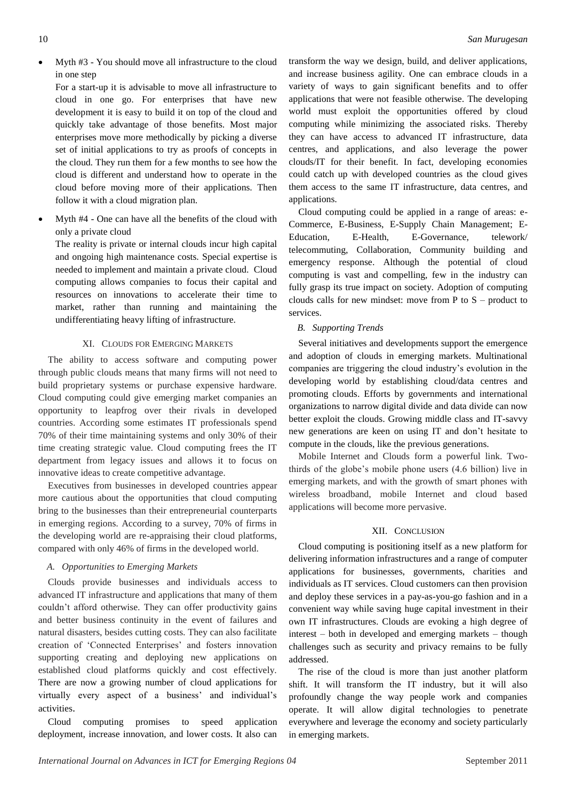Myth #3 - You should move all infrastructure to the cloud in one step

For a start-up it is advisable to move all infrastructure to cloud in one go. For enterprises that have new development it is easy to build it on top of the cloud and quickly take advantage of those benefits. Most major enterprises move more methodically by picking a diverse set of initial applications to try as proofs of concepts in the cloud. They run them for a few months to see how the cloud is different and understand how to operate in the cloud before moving more of their applications. Then follow it with a cloud migration plan.

 Myth #4 - One can have all the benefits of the cloud with only a private cloud

The reality is private or internal clouds incur high capital and ongoing high maintenance costs. Special expertise is needed to implement and maintain a private cloud. Cloud computing allows companies to focus their capital and resources on innovations to accelerate their time to market, rather than running and maintaining the undifferentiating heavy lifting of infrastructure.

# XI. CLOUDS FOR EMERGING MARKETS

The ability to access software and computing power through public clouds means that many firms will not need to build proprietary systems or purchase expensive hardware. Cloud computing could give emerging market companies an opportunity to leapfrog over their rivals in developed countries. According some estimates IT professionals spend 70% of their time maintaining systems and only 30% of their time creating strategic value. Cloud computing frees the IT department from legacy issues and allows it to focus on innovative ideas to create competitive advantage.

Executives from businesses in developed countries appear more cautious about the opportunities that cloud computing bring to the businesses than their entrepreneurial counterparts in emerging regions. According to a survey, 70% of firms in the developing world are re-appraising their cloud platforms, compared with only 46% of firms in the developed world.

# *A. Opportunities to Emerging Markets*

Clouds provide businesses and individuals access to advanced IT infrastructure and applications that many of them couldn't afford otherwise. They can offer productivity gains and better business continuity in the event of failures and natural disasters, besides cutting costs. They can also facilitate creation of ‗Connected Enterprises' and fosters innovation supporting creating and deploying new applications on established cloud platforms quickly and cost effectively. There are now a growing number of cloud applications for virtually every aspect of a business' and individual's activities.

Cloud computing promises to speed application deployment, increase innovation, and lower costs. It also can transform the way we design, build, and deliver applications, and increase business agility. One can embrace clouds in a variety of ways to gain significant benefits and to offer applications that were not feasible otherwise. The developing world must exploit the opportunities offered by cloud computing while minimizing the associated risks. Thereby they can have access to advanced IT infrastructure, data centres, and applications, and also leverage the power clouds/IT for their benefit. In fact, developing economies could catch up with developed countries as the cloud gives them access to the same IT infrastructure, data centres, and applications.

Cloud computing could be applied in a range of areas: e-Commerce, E-Business, E-Supply Chain Management; E-Education, E-Health, E-Governance, telework/ telecommuting, Collaboration, Community building and emergency response. Although the potential of cloud computing is vast and compelling, few in the industry can fully grasp its true impact on society. Adoption of computing clouds calls for new mindset: move from  $P$  to  $S$  – product to services.

# *B. Supporting Trends*

Several initiatives and developments support the emergence and adoption of clouds in emerging markets. Multinational companies are triggering the cloud industry's evolution in the developing world by establishing cloud/data centres and promoting clouds. Efforts by governments and international organizations to narrow digital divide and data divide can now better exploit the clouds. Growing middle class and IT-savvy new generations are keen on using IT and don't hesitate to compute in the clouds, like the previous generations.

Mobile Internet and Clouds form a powerful link. Twothirds of the globe's mobile phone users (4.6 billion) live in emerging markets, and with the growth of smart phones with wireless broadband, mobile Internet and cloud based applications will become more pervasive.

# XII. CONCLUSION

Cloud computing is positioning itself as a new platform for delivering information infrastructures and a range of computer applications for businesses, governments, charities and individuals as IT services. Cloud customers can then provision and deploy these services in a pay-as-you-go fashion and in a convenient way while saving huge capital investment in their own IT infrastructures. Clouds are evoking a high degree of interest – both in developed and emerging markets – though challenges such as security and privacy remains to be fully addressed.

The rise of the cloud is more than just another platform shift. It will transform the IT industry, but it will also profoundly change the way people work and companies operate. It will allow digital technologies to penetrate everywhere and leverage the economy and society particularly in emerging markets.